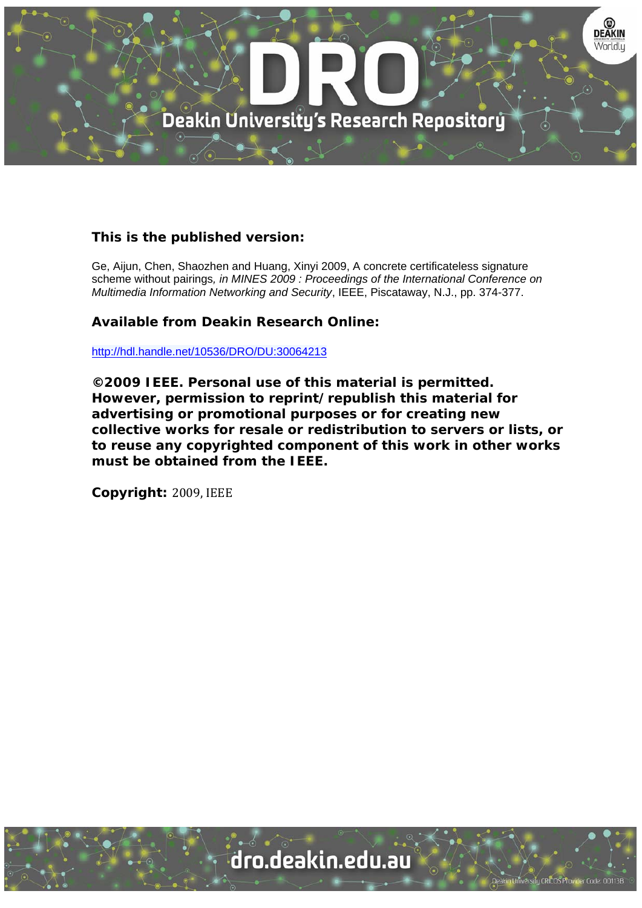

## **This is the published version:**

Ge, Aijun, Chen, Shaozhen and Huang, Xinyi 2009, A concrete certificateless signature scheme without pairings*, in MINES 2009 : Proceedings of the International Conference on Multimedia Information Networking and Security*, IEEE, Piscataway, N.J., pp. 374-377.

## **Available from Deakin Research Online:**

http://hdl.handle.net/10536/DRO/DU:30064213

**©2009 IEEE. Personal use of this material is permitted. However, permission to reprint/republish this material for advertising or promotional purposes or for creating new collective works for resale or redistribution to servers or lists, or to reuse any copyrighted component of this work in other works must be obtained from the IEEE.** 

**Copyright: 2009, IEEE**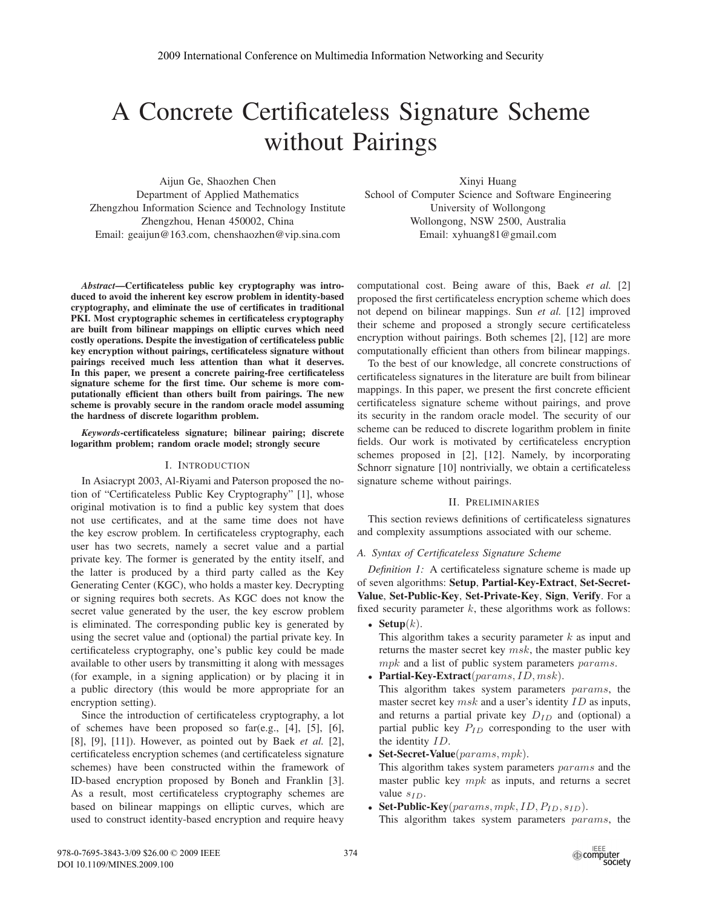# A Concrete Certificateless Signature Scheme without Pairings

Aijun Ge, Shaozhen Chen Department of Applied Mathematics Zhengzhou Information Science and Technology Institute Zhengzhou, Henan 450002, China Email: geaijun@163.com, chenshaozhen@vip.sina.com

Xinyi Huang School of Computer Science and Software Engineering University of Wollongong Wollongong, NSW 2500, Australia Email: xyhuang81@gmail.com

*Abstract***—Certificateless public key cryptography was introduced to avoid the inherent key escrow problem in identity-based cryptography, and eliminate the use of certificates in traditional PKI. Most cryptographic schemes in certificateless cryptography are built from bilinear mappings on elliptic curves which need costly operations. Despite the investigation of certificateless public key encryption without pairings, certificateless signature without pairings received much less attention than what it deserves. In this paper, we present a concrete pairing-free certificateless signature scheme for the first time. Our scheme is more computationally efficient than others built from pairings. The new scheme is provably secure in the random oracle model assuming the hardness of discrete logarithm problem.**

*Keywords***-certificateless signature; bilinear pairing; discrete logarithm problem; random oracle model; strongly secure**

#### I. INTRODUCTION

In Asiacrypt 2003, Al-Riyami and Paterson proposed the notion of "Certificateless Public Key Cryptography" [1], whose original motivation is to find a public key system that does not use certificates, and at the same time does not have the key escrow problem. In certificateless cryptography, each user has two secrets, namely a secret value and a partial private key. The former is generated by the entity itself, and the latter is produced by a third party called as the Key Generating Center (KGC), who holds a master key. Decrypting or signing requires both secrets. As KGC does not know the secret value generated by the user, the key escrow problem is eliminated. The corresponding public key is generated by using the secret value and (optional) the partial private key. In certificateless cryptography, one's public key could be made available to other users by transmitting it along with messages (for example, in a signing application) or by placing it in a public directory (this would be more appropriate for an encryption setting).

Since the introduction of certificateless cryptography, a lot of schemes have been proposed so far(e.g., [4], [5], [6], [8], [9], [11]). However, as pointed out by Baek *et al.* [2], certificateless encryption schemes (and certificateless signature schemes) have been constructed within the framework of ID-based encryption proposed by Boneh and Franklin [3]. As a result, most certificateless cryptography schemes are based on bilinear mappings on elliptic curves, which are used to construct identity-based encryption and require heavy computational cost. Being aware of this, Baek *et al.* [2] proposed the first certificateless encryption scheme which does not depend on bilinear mappings. Sun *et al.* [12] improved their scheme and proposed a strongly secure certificateless encryption without pairings. Both schemes [2], [12] are more computationally efficient than others from bilinear mappings.

To the best of our knowledge, all concrete constructions of certificateless signatures in the literature are built from bilinear mappings. In this paper, we present the first concrete efficient certificateless signature scheme without pairings, and prove its security in the random oracle model. The security of our scheme can be reduced to discrete logarithm problem in finite fields. Our work is motivated by certificateless encryption schemes proposed in [2], [12]. Namely, by incorporating Schnorr signature [10] nontrivially, we obtain a certificateless signature scheme without pairings.

#### II. PRELIMINARIES

This section reviews definitions of certificateless signatures and complexity assumptions associated with our scheme.

#### *A. Syntax of Certificateless Signature Scheme*

*Definition 1:* A certificateless signature scheme is made up of seven algorithms: **Setup**, **Partial-Key-Extract**, **Set-Secret-Value**, **Set-Public-Key**, **Set-Private-Key**, **Sign**, **Verify**. For a fixed security parameter  $k$ , these algorithms work as follows:

• **Setup** $(k)$ .

This algorithm takes a security parameter  $k$  as input and returns the master secret key  $msk$ , the master public key mpk and a list of public system parameters params.

• **Partial-Key-Extract**(params, ID, msk).

This algorithm takes system parameters params, the master secret key msk and a user's identity ID as inputs, and returns a partial private key  $D_{ID}$  and (optional) a partial public key  $P_{ID}$  corresponding to the user with the identity ID.

• **Set-Secret-Value**(params, mpk).

This algorithm takes system parameters params and the master public key  $mpk$  as inputs, and returns a secret value  $s_{ID}$ .

• **Set-Public-Key**( $params, mpk, ID, P_{ID}, s_{ID}$ ).

This algorithm takes system parameters params, the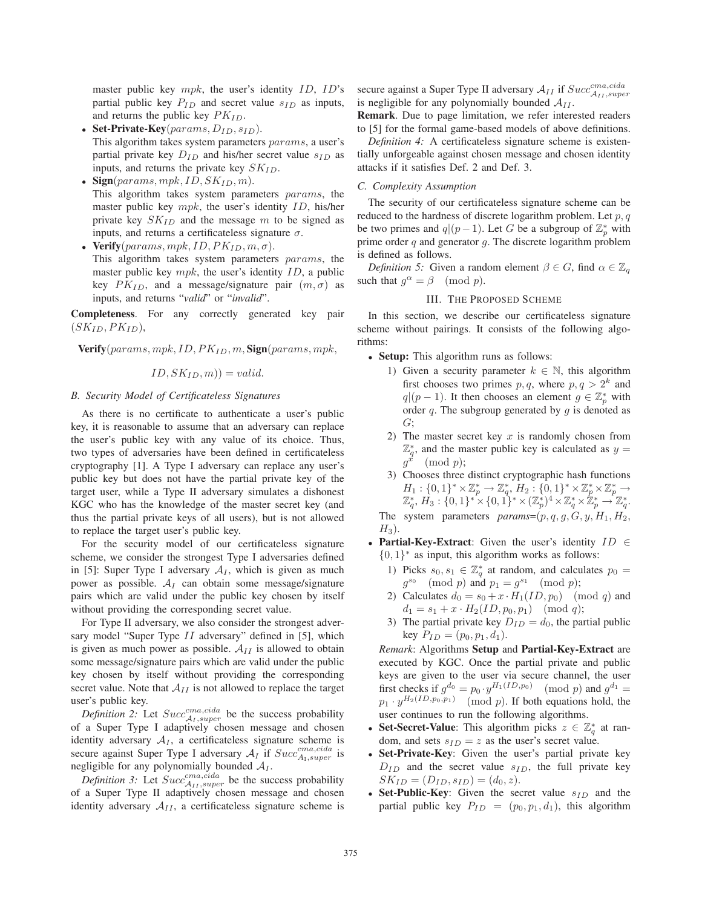master public key mpk, the user's identity ID, ID's partial public key  $P_{ID}$  and secret value  $s_{ID}$  as inputs, and returns the public key  $PK_{ID}$ .

- **Set-Private-Key**( $params, D_{ID}, s_{ID}$ ). This algorithm takes system parameters params, a user's partial private key  $D_{ID}$  and his/her secret value  $s_{ID}$  as inputs, and returns the private key  $SK_{ID}$ .
- $Sign(params, mpk, ID, SK<sub>ID</sub>, m)$ . This algorithm takes system parameters params, the master public key  $mpk$ , the user's identity  $ID$ , his/her private key  $SK_{ID}$  and the message m to be signed as inputs, and returns a certificateless signature  $\sigma$ .
- **Verify** $(\text{params}, \text{mpk}, \text{ID}, \text{PK}_{ID}, \text{m}, \sigma)$ . This algorithm takes system parameters params, the master public key  $mpk$ , the user's identity  $ID$ , a public

key  $PK_{ID}$ , and a message/signature pair  $(m, \sigma)$  as inputs, and returns "*valid*" or "*invalid*".

**Completeness**. For any correctly generated key pair  $(SK_{ID}, PK_{ID}),$ 

 $Verify(params, mpk, ID, PK<sub>ID</sub>, m, Sign(params, mpk,$ 

$$
ID, SK_{ID}, m)) = valid.
$$

#### *B. Security Model of Certificateless Signatures*

As there is no certificate to authenticate a user's public key, it is reasonable to assume that an adversary can replace the user's public key with any value of its choice. Thus, two types of adversaries have been defined in certificateless cryptography [1]. A Type I adversary can replace any user's public key but does not have the partial private key of the target user, while a Type II adversary simulates a dishonest KGC who has the knowledge of the master secret key (and thus the partial private keys of all users), but is not allowed to replace the target user's public key.

For the security model of our certificateless signature scheme, we consider the strongest Type I adversaries defined in [5]: Super Type I adversary  $A_I$ , which is given as much power as possible.  $A_I$  can obtain some message/signature pairs which are valid under the public key chosen by itself without providing the corresponding secret value.

For Type II adversary, we also consider the strongest adversary model "Super Type II adversary" defined in [5], which is given as much power as possible.  $A_{II}$  is allowed to obtain some message/signature pairs which are valid under the public key chosen by itself without providing the corresponding secret value. Note that  $A_{II}$  is not allowed to replace the target user's public key.

*Definition 2:* Let  $Succ_{A_I, super}^{cma, cida}$  be the success probability of a Super Type I adaptively chosen message and chosen identity adversary  $A_I$ , a certificateless signature scheme is secure against Super Type I adversary  $A_I$  if  $Succ_{A_1,super}^{cma,cida}$  is negligible for any polynomially bounded  $A_I$ .

*Definition 3:* Let  $Succ^{cma,cida}_{A_{II},super}$  be the success probability of a Super Type II adaptively chosen message and chosen identity adversary  $A_{II}$ , a certificateless signature scheme is

secure against a Super Type II adversary  $A_{II}$  if  $Succ_{A_{II},super}^{cma, cida}$ is negligible for any polynomially bounded  $A_{II}$ .

**Remark**. Due to page limitation, we refer interested readers to [5] for the formal game-based models of above definitions.

*Definition 4:* A certificateless signature scheme is existentially unforgeable against chosen message and chosen identity attacks if it satisfies Def. 2 and Def. 3.

#### *C. Complexity Assumption*

The security of our certificateless signature scheme can be reduced to the hardness of discrete logarithm problem. Let  $p, q$ be two primes and  $q|(p-1)$ . Let G be a subgroup of  $\mathbb{Z}_p^*$  with prime order  $q$  and generator  $q$ . The discrete logarithm problem is defined as follows.

*Definition 5:* Given a random element  $\beta \in G$ , find  $\alpha \in \mathbb{Z}_q$ such that  $q^{\alpha} = \beta \pmod{p}$ .

### III. THE PROPOSED SCHEME

In this section, we describe our certificateless signature scheme without pairings. It consists of the following algorithms:

- **Setup:** This algorithm runs as follows:
	- 1) Given a security parameter  $k \in \mathbb{N}$ , this algorithm first chooses two primes  $p, q$ , where  $p, q > 2<sup>k</sup>$  and  $q|(p-1)$ . It then chooses an element  $g \in \mathbb{Z}_p^*$  with order  $q$ . The subgroup generated by  $q$  is denoted as G;
	- 2) The master secret key  $x$  is randomly chosen from  $\mathbb{Z}_q^*$ , and the master public key is calculated as  $y =$  $g^x \pmod{p}$ ;
	- 3) Chooses three distinct cryptographic hash functions  $H_1: \{0,1\}^* \times \mathbb{Z}_p^* \to \mathbb{Z}_q^*, H_2: \{0,1\}^* \times \mathbb{Z}_p^* \times \mathbb{Z}_p^* \to \mathbb{Z}_q^*, H_3: \{0,1\}^* \times \{0,1\}^* \times (\mathbb{Z}_p^*)^4 \times \mathbb{Z}_q^* \times \mathbb{Z}_p^* \to \mathbb{Z}_q^*.$ The system parameters  $params=(p, q, g, G, y, H_1, H_2,$
- $H_3$ ). • **Partial-Key-Extract**: Given the user's identity ID ∈
	- $\{0, 1\}^*$  as input, this algorithm works as follows:
		- 1) Picks  $s_0, s_1 \in \mathbb{Z}_q^*$  at random, and calculates  $p_0 =$  $g^{s_0} \pmod{p}$  and  $p_1 = g^{s_1} \pmod{p}$ ;
		- 2) Calculates  $d_0 = s_0 + x \cdot H_1(ID, p_0) \pmod{q}$  and  $d_1 = s_1 + x \cdot H_2(ID, p_0, p_1) \pmod{q};$
		- 3) The partial private key  $D_{ID} = d_0$ , the partial public key  $P_{ID} = (p_0, p_1, d_1).$

*Remark*: Algorithms **Setup** and **Partial-Key-Extract** are executed by KGC. Once the partial private and public keys are given to the user via secure channel, the user first checks if  $g^{d_0} = p_0 \cdot y^{H_1(ID, p_0)}$  (mod p) and  $q^{d_1} =$  $p_1 \cdot y^{H_2(ID, p_0, p_1)}$  (mod p). If both equations hold, the user continues to run the following algorithms.

- **Set-Secret-Value**: This algorithm picks  $z \in \mathbb{Z}_q^*$  at random, and sets  $s_{ID} = z$  as the user's secret value.
- **Set-Private-Key**: Given the user's partial private key  $D_{ID}$  and the secret value  $s_{ID}$ , the full private key  $SK_{ID} = (D_{ID}, s_{ID}) = (d_0, z).$
- Set-Public-Key: Given the secret value  $s_{ID}$  and the partial public key  $P_{ID} = (p_0, p_1, d_1)$ , this algorithm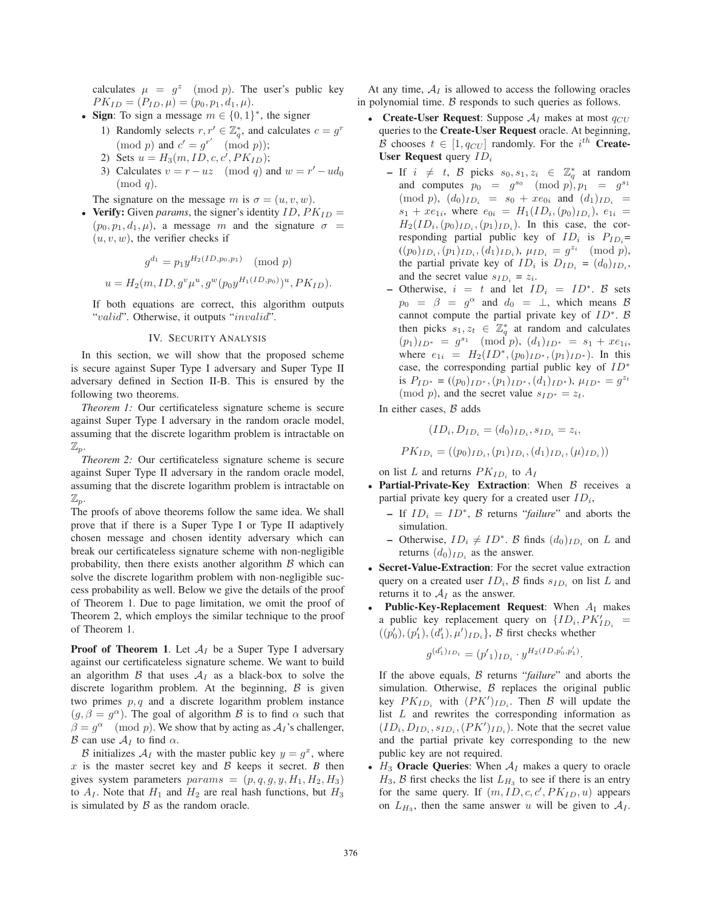calculates  $\mu = g^z \pmod{p}$ . The user's public key  $PK_{ID} = (P_{ID}, \mu) = (p_0, p_1, d_1, \mu).$ 

- **Sign**: To sign a message  $m \in \{0, 1\}^*$ , the signer
	- 1) Randomly selects  $r, r' \in \mathbb{Z}_q^*$ , and calculates  $c = g^r$  $\pmod{p}$  and  $c' = g^{r'} \pmod{p}$ ;
	- 2) Sets  $u = H_3(m, ID, c, c', PK_{ID});$
	- 3) Calculates  $v = r uz \pmod{q}$  and  $w = r' ud_0$  $\pmod{q}$ .

The signature on the message m is  $\sigma = (u, v, w)$ .

• Verify: Given *params*, the signer's identity  $ID, PK_{ID} =$  $(p_0, p_1, d_1, \mu)$ , a message m and the signature  $\sigma =$  $(u, v, w)$ , the verifier checks if

$$
g^{d_1} = p_1 y^{H_2(ID, p_0, p_1)} \pmod{p}
$$
  

$$
u = H_2(m, ID, g^v \mu^u, g^w (p_0 y^{H_1(ID, p_0)})^u, PK_{ID}).
$$

If both equations are correct, this algorithm outputs "valid". Otherwise, it outputs "invalid".

#### IV. SECURITY ANALYSIS

In this section, we will show that the proposed scheme is secure against Super Type I adversary and Super Type II adversary defined in Section II-B. This is ensured by the following two theorems.

*Theorem 1:* Our certificateless signature scheme is secure against Super Type I adversary in the random oracle model, assuming that the discrete logarithm problem is intractable on  $\mathbb{Z}_p$ .

*Theorem 2:* Our certificateless signature scheme is secure against Super Type II adversary in the random oracle model, assuming that the discrete logarithm problem is intractable on  $\mathbb{Z}_p$ .

The proofs of above theorems follow the same idea. We shall prove that if there is a Super Type I or Type II adaptively chosen message and chosen identity adversary which can break our certificateless signature scheme with non-negligible probability, then there exists another algorithm  $\beta$  which can solve the discrete logarithm problem with non-negligible success probability as well. Below we give the details of the proof of Theorem 1. Due to page limitation, we omit the proof of Theorem 2, which employs the similar technique to the proof of Theorem 1.

**Proof of Theorem 1.** Let  $A_I$  be a Super Type I adversary against our certificateless signature scheme. We want to build an algorithm  $\beta$  that uses  $A_I$  as a black-box to solve the discrete logarithm problem. At the beginning,  $\beta$  is given two primes  $p, q$  and a discrete logarithm problem instance  $(g, \beta = g^{\alpha})$ . The goal of algorithm B is to find  $\alpha$  such that  $\beta = g^{\alpha} \pmod{p}$ . We show that by acting as  $A_I$ 's challenger, B can use  $A_I$  to find  $\alpha$ .

B initializes  $A_I$  with the master public key  $y = g^x$ , where  $x$  is the master secret key and  $\beta$  keeps it secret.  $\beta$  then gives system parameters  $params = (p, q, g, y, H_1, H_2, H_3)$ to  $A<sub>I</sub>$ . Note that  $H<sub>1</sub>$  and  $H<sub>2</sub>$  are real hash functions, but  $H<sub>3</sub>$ is simulated by  $\beta$  as the random oracle.

At any time,  $A_I$  is allowed to access the following oracles in polynomial time.  $\beta$  responds to such queries as follows.

- **Create-User Request:** Suppose  $A_I$  makes at most  $q_{CU}$ queries to the **Create-User Request** oracle. At beginning, B chooses  $t \in [1, q_{CU}]$  randomly. For the  $i^{th}$  **Create-User Request** query  $ID_i$ 
	- **–** If  $i \neq t$ ,  $\beta$  picks  $s_0, s_1, z_i \in \mathbb{Z}_q^*$  at random and computes  $p_0 = g^{s_0} \pmod{p}$ ,  $p_1 = g^{s_1}$  $(\text{mod } p), (d_0)_{ID_i} = s_0 + x e_{0i}$  and  $(d_1)_{ID_i} =$  $s_1 + xe_{1i}$ , where  $e_{0i} = H_1(ID_i,(p_0)_{ID_i}), e_{1i} =$  $H_2(ID_i,(p_0)_{ID_i},(p_1)_{ID_i}).$  In this case, the corresponding partial public key of  $ID_i$  is  $P_{ID_i}$ =  $((p_0)_{ID_i}, (p_1)_{ID_i}, (d_1)_{ID_i}), \mu_{ID_i} = g^{z_i} \pmod{p},$ the partial private key of  $ID_i$  is  $D_{ID_i} = (d_0)_{ID_i}$ , and the secret value  $s_{ID_i} = z_i$ .
	- Otherwise,  $i = t$  and let  $ID_i = ID^*$ . B sets  $p_0 = \beta = g^{\alpha}$  and  $d_0 = \bot$ , which means  $\beta$ cannot compute the partial private key of ID∗. B then picks  $s_1, z_t \in \mathbb{Z}_q^*$  at random and calculates  $(p_1)_{ID^*} = g^{s_1} \pmod{p}, (d_1)_{ID^*} = s_1 + xe_{1i},$ where  $e_{1i} = H_2(ID^*(p_0)_{ID^*}, (p_1)_{ID^*}).$  In this case, the corresponding partial public key of ID<sup>∗</sup> is  $P_{ID^*} = ((p_0)_{ID^*}, (p_1)_{ID^*}, (d_1)_{ID^*}), \mu_{ID^*} = g^{z_t}$ (mod *p*), and the secret value  $s_{ID^*} = z_t$ .

In either cases, B adds

$$
(ID_i, D_{ID_i} = (d_0)_{ID_i}, s_{ID_i} = z_i,
$$

$$
PK_{ID_i} = ((p_0)_{ID_i}, (p_1)_{ID_i}, (d_1)_{ID_i}, (\mu)_{ID_i}))
$$

on list L and returns  $PK_{ID_i}$  to  $A_I$ 

- Partial-Private-Key Extraction: When B receives a partial private key query for a created user  $ID_i$ ,
	- **–** If ID<sup>i</sup> = ID∗, B returns "*failure*" and aborts the simulation.
	- **−** Otherwise,  $ID_i \neq ID^*$ . B finds  $(d_0)_{ID_i}$  on L and returns  $(d_0)_{ID_i}$  as the answer.
- **Secret-Value-Extraction**: For the secret value extraction query on a created user  $ID_i$ ,  $B$  finds  $s_{ID_i}$  on list  $L$  and returns it to  $A_I$  as the answer.
- **Public-Key-Replacement Request:** When  $A_I$  makes a public key replacement query on  $\{ID_i, PK'_{ID_i}$  =  $((p'_0), (p'_1), (d'_1), \mu')_{ID_i}$ ,  $\beta$  first checks whether

$$
g^{(d'_1)_{ID_i}} = (p'_{1})_{ID_i} \cdot y^{H_2(ID, p'_0, p'_1)}.
$$

If the above equals, B returns "*failure*" and aborts the simulation. Otherwise,  $\beta$  replaces the original public key  $PK_{ID_i}$  with  $(PK')_{ID_i}$ . Then B will update the list  $L$  and rewrites the corresponding information as  $(ID_i, D_{ID_i}, s_{ID_i}, (PK')_{ID_i} )$ . Note that the secret value and the partial private key corresponding to the new public key are not required.

•  $H_3$  **Oracle Queries**: When  $A_I$  makes a query to oracle  $H_3$ , B first checks the list  $L_{H_3}$  to see if there is an entry for the same query. If  $(m, ID, c, c', PK_{ID}, u)$  appears on  $L_{H_3}$ , then the same answer u will be given to  $A_I$ .